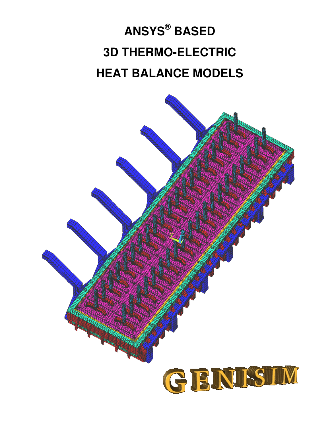# **ANSYS® BASED 3D THERMO-ELECTRIC HEAT BALANCE MODELS**

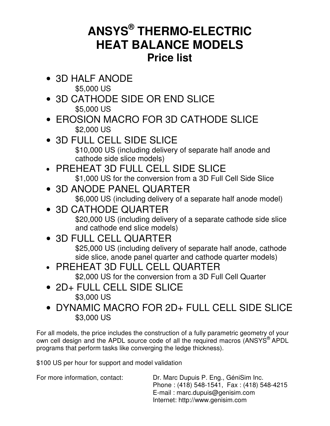#### **ANSYS® THERMO-ELECTRIC HEAT BALANCE MODELS Price list**

• 3D HALF ANODE

\$5,000 US

- 3D CATHODE SIDE OR END SLICE \$5,000 US
- EROSION MACRO FOR 3D CATHODE SLICE \$2,000 US
- 3D FULL CELL SIDE SLICE \$10,000 US (including delivery of separate half anode and cathode side slice models)
- PREHEAT 3D FULL CELL SIDE SLICE \$1,000 US for the conversion from a 3D Full Cell Side Slice
- 3D ANODE PANEL QUARTER \$6,000 US (including delivery of a separate half anode model)
- 3D CATHODE QUARTER \$20,000 US (including delivery of a separate cathode side slice and cathode end slice models)
- 3D FULL CELL QUARTER \$25,000 US (including delivery of separate half anode, cathode side slice, anode panel quarter and cathode quarter models)
- PREHEAT 3D FULL CELL QUARTER

\$2,000 US for the conversion from a 3D Full Cell Quarter

- 2D+ FULL CELL SIDE SLICE \$3,000 US
- DYNAMIC MACRO FOR 2D+ FULL CELL SIDE SLICE \$3,000 US

For all models, the price includes the construction of a fully parametric geometry of your own cell design and the APDL source code of all the required macros (ANSYS<sup>®</sup> APDL programs that perform tasks like converging the ledge thickness).

\$100 US per hour for support and model validation

For more information, contact: Dr. Marc Dupuis P. Eng., GéniSim Inc. Phone : (418) 548-1541, Fax : (418) 548-4215 E-mail : marc.dupuis@genisim.com Internet: http://www.genisim.com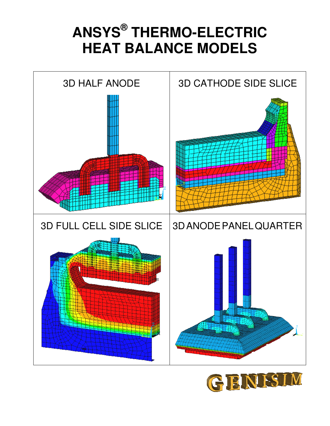## **ANSYS® THERMO-ELECTRIC HEAT BALANCE MODELS**



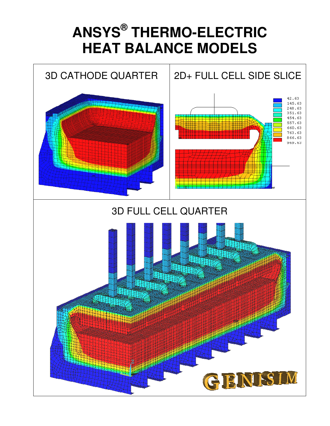## **ANSYS® THERMO-ELECTRIC HEAT BALANCE MODELS**

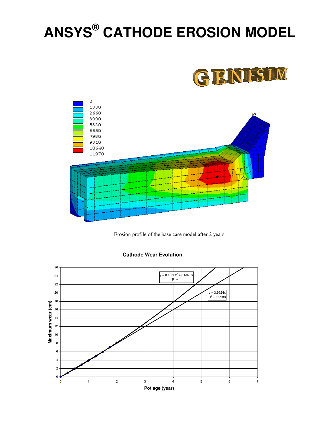# **ANSYS® CATHODE EROSION MODEL**





Erosion profile of the base case model after 2 years



#### **Cathode Wear Evolution**